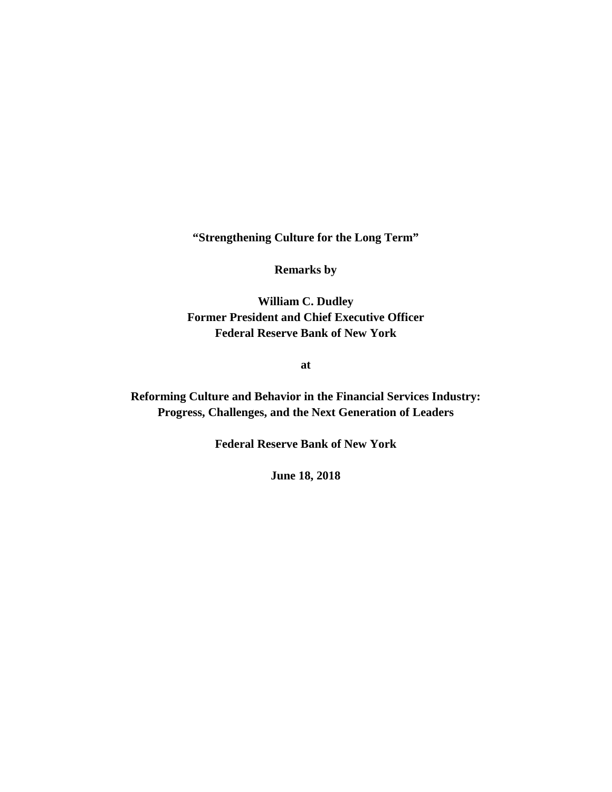**"Strengthening Culture for the Long Term"**

**Remarks by**

**William C. Dudley Former President and Chief Executive Officer Federal Reserve Bank of New York**

**at**

**Reforming Culture and Behavior in the Financial Services Industry: Progress, Challenges, and the Next Generation of Leaders**

**Federal Reserve Bank of New York**

**June 18, 2018**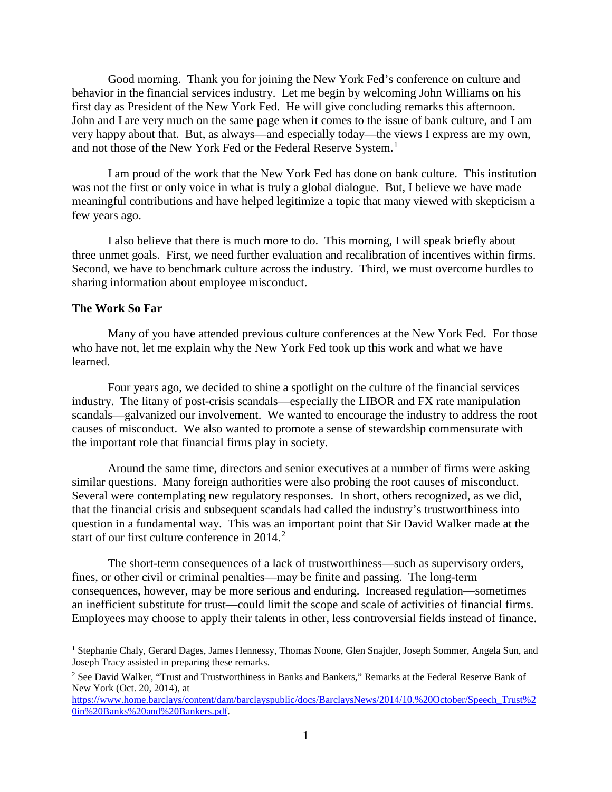Good morning. Thank you for joining the New York Fed's conference on culture and behavior in the financial services industry. Let me begin by welcoming John Williams on his first day as President of the New York Fed. He will give concluding remarks this afternoon. John and I are very much on the same page when it comes to the issue of bank culture, and I am very happy about that. But, as always—and especially today—the views I express are my own, and not those of the New York Fed or the Federal Reserve System. [1](#page-1-0)

I am proud of the work that the New York Fed has done on bank culture. This institution was not the first or only voice in what is truly a global dialogue. But, I believe we have made meaningful contributions and have helped legitimize a topic that many viewed with skepticism a few years ago.

I also believe that there is much more to do. This morning, I will speak briefly about three unmet goals. First, we need further evaluation and recalibration of incentives within firms. Second, we have to benchmark culture across the industry. Third, we must overcome hurdles to sharing information about employee misconduct.

# **The Work So Far**

Many of you have attended previous culture conferences at the New York Fed. For those who have not, let me explain why the New York Fed took up this work and what we have learned.

Four years ago, we decided to shine a spotlight on the culture of the financial services industry. The litany of post-crisis scandals—especially the LIBOR and FX rate manipulation scandals—galvanized our involvement. We wanted to encourage the industry to address the root causes of misconduct. We also wanted to promote a sense of stewardship commensurate with the important role that financial firms play in society.

Around the same time, directors and senior executives at a number of firms were asking similar questions. Many foreign authorities were also probing the root causes of misconduct. Several were contemplating new regulatory responses. In short, others recognized, as we did, that the financial crisis and subsequent scandals had called the industry's trustworthiness into question in a fundamental way. This was an important point that Sir David Walker made at the start of our first culture conference in  $2014$  $2014$ <sup>2</sup>

The short-term consequences of a lack of trustworthiness—such as supervisory orders, fines, or other civil or criminal penalties—may be finite and passing. The long-term consequences, however, may be more serious and enduring. Increased regulation—sometimes an inefficient substitute for trust—could limit the scope and scale of activities of financial firms. Employees may choose to apply their talents in other, less controversial fields instead of finance.

<span id="page-1-0"></span> <sup>1</sup> Stephanie Chaly, Gerard Dages, James Hennessy, Thomas Noone, Glen Snajder, Joseph Sommer, Angela Sun, and Joseph Tracy assisted in preparing these remarks.

<span id="page-1-1"></span><sup>&</sup>lt;sup>2</sup> See David Walker, "Trust and Trustworthiness in Banks and Bankers," Remarks at the Federal Reserve Bank of New York (Oct. 20, 2014), at

[https://www.home.barclays/content/dam/barclayspublic/docs/BarclaysNews/2014/10.%20October/Speech\\_Trust%2](https://www.home.barclays/content/dam/barclayspublic/docs/BarclaysNews/2014/10.%20October/Speech_Trust%20in%20Banks%20and%20Bankers.pdf) [0in%20Banks%20and%20Bankers.pdf.](https://www.home.barclays/content/dam/barclayspublic/docs/BarclaysNews/2014/10.%20October/Speech_Trust%20in%20Banks%20and%20Bankers.pdf)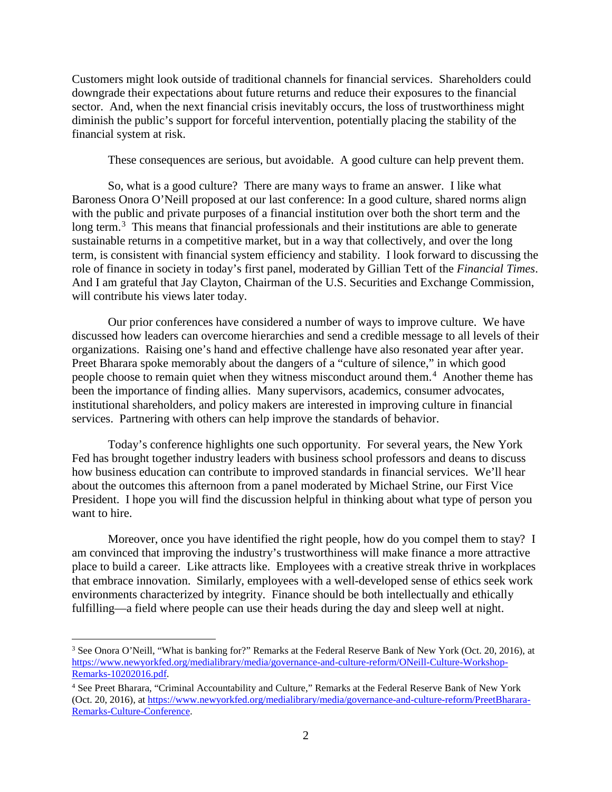Customers might look outside of traditional channels for financial services. Shareholders could downgrade their expectations about future returns and reduce their exposures to the financial sector. And, when the next financial crisis inevitably occurs, the loss of trustworthiness might diminish the public's support for forceful intervention, potentially placing the stability of the financial system at risk.

These consequences are serious, but avoidable. A good culture can help prevent them.

So, what is a good culture? There are many ways to frame an answer. I like what Baroness Onora O'Neill proposed at our last conference: In a good culture, shared norms align with the public and private purposes of a financial institution over both the short term and the long term.<sup>[3](#page-2-0)</sup> This means that financial professionals and their institutions are able to generate sustainable returns in a competitive market, but in a way that collectively, and over the long term, is consistent with financial system efficiency and stability. I look forward to discussing the role of finance in society in today's first panel, moderated by Gillian Tett of the *Financial Times*. And I am grateful that Jay Clayton, Chairman of the U.S. Securities and Exchange Commission, will contribute his views later today.

Our prior conferences have considered a number of ways to improve culture. We have discussed how leaders can overcome hierarchies and send a credible message to all levels of their organizations. Raising one's hand and effective challenge have also resonated year after year. Preet Bharara spoke memorably about the dangers of a "culture of silence," in which good people choose to remain quiet when they witness misconduct around them.<sup>[4](#page-2-1)</sup> Another theme has been the importance of finding allies. Many supervisors, academics, consumer advocates, institutional shareholders, and policy makers are interested in improving culture in financial services. Partnering with others can help improve the standards of behavior.

Today's conference highlights one such opportunity. For several years, the New York Fed has brought together industry leaders with business school professors and deans to discuss how business education can contribute to improved standards in financial services. We'll hear about the outcomes this afternoon from a panel moderated by Michael Strine, our First Vice President. I hope you will find the discussion helpful in thinking about what type of person you want to hire.

Moreover, once you have identified the right people, how do you compel them to stay? I am convinced that improving the industry's trustworthiness will make finance a more attractive place to build a career. Like attracts like. Employees with a creative streak thrive in workplaces that embrace innovation. Similarly, employees with a well-developed sense of ethics seek work environments characterized by integrity. Finance should be both intellectually and ethically fulfilling—a field where people can use their heads during the day and sleep well at night.

<span id="page-2-0"></span> <sup>3</sup> See Onora O'Neill, "What is banking for?" Remarks at the Federal Reserve Bank of New York (Oct. 20, 2016), at [https://www.newyorkfed.org/medialibrary/media/governance-and-culture-reform/ONeill-Culture-Workshop-](https://www.newyorkfed.org/medialibrary/media/governance-and-culture-reform/ONeill-Culture-Workshop-Remarks-10202016.pdf)[Remarks-10202016.pdf.](https://www.newyorkfed.org/medialibrary/media/governance-and-culture-reform/ONeill-Culture-Workshop-Remarks-10202016.pdf)

<span id="page-2-1"></span><sup>4</sup> See Preet Bharara, "Criminal Accountability and Culture," Remarks at the Federal Reserve Bank of New York (Oct. 20, 2016), at [https://www.newyorkfed.org/medialibrary/media/governance-and-culture-reform/PreetBharara-](https://www.newyorkfed.org/medialibrary/media/governance-and-culture-reform/PreetBharara-Remarks-Culture-Conference)[Remarks-Culture-Conference.](https://www.newyorkfed.org/medialibrary/media/governance-and-culture-reform/PreetBharara-Remarks-Culture-Conference)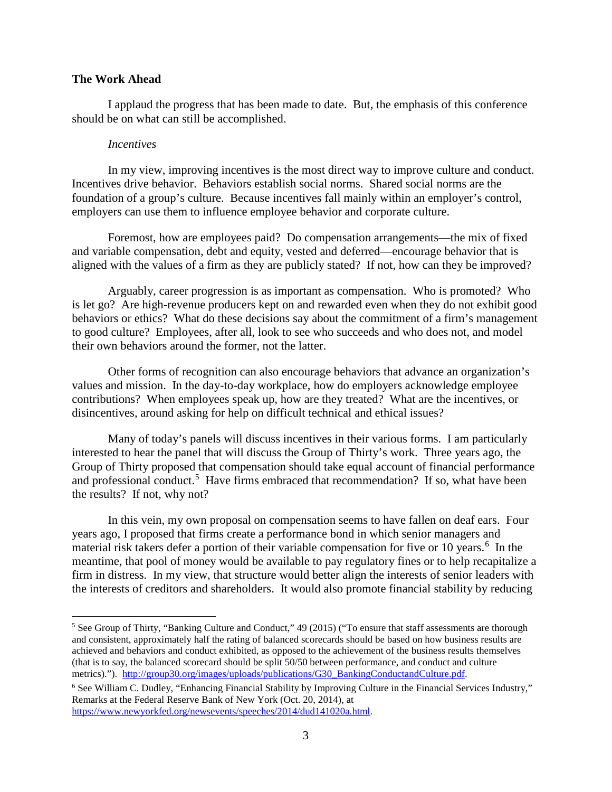# **The Work Ahead**

I applaud the progress that has been made to date. But, the emphasis of this conference should be on what can still be accomplished.

#### *Incentives*

In my view, improving incentives is the most direct way to improve culture and conduct. Incentives drive behavior. Behaviors establish social norms. Shared social norms are the foundation of a group's culture. Because incentives fall mainly within an employer's control, employers can use them to influence employee behavior and corporate culture.

Foremost, how are employees paid? Do compensation arrangements—the mix of fixed and variable compensation, debt and equity, vested and deferred—encourage behavior that is aligned with the values of a firm as they are publicly stated? If not, how can they be improved?

Arguably, career progression is as important as compensation. Who is promoted? Who is let go? Are high-revenue producers kept on and rewarded even when they do not exhibit good behaviors or ethics? What do these decisions say about the commitment of a firm's management to good culture? Employees, after all, look to see who succeeds and who does not, and model their own behaviors around the former, not the latter.

Other forms of recognition can also encourage behaviors that advance an organization's values and mission. In the day-to-day workplace, how do employers acknowledge employee contributions? When employees speak up, how are they treated? What are the incentives, or disincentives, around asking for help on difficult technical and ethical issues?

Many of today's panels will discuss incentives in their various forms. I am particularly interested to hear the panel that will discuss the Group of Thirty's work. Three years ago, the Group of Thirty proposed that compensation should take equal account of financial performance and professional conduct.<sup>[5](#page-3-0)</sup> Have firms embraced that recommendation? If so, what have been the results? If not, why not?

In this vein, my own proposal on compensation seems to have fallen on deaf ears. Four years ago, I proposed that firms create a performance bond in which senior managers and material risk takers defer a portion of their variable compensation for five or 10 years.<sup>[6](#page-3-1)</sup> In the meantime, that pool of money would be available to pay regulatory fines or to help recapitalize a firm in distress. In my view, that structure would better align the interests of senior leaders with the interests of creditors and shareholders. It would also promote financial stability by reducing

<span id="page-3-0"></span><sup>&</sup>lt;sup>5</sup> See Group of Thirty, "Banking Culture and Conduct," 49 (2015) ("To ensure that staff assessments are thorough and consistent, approximately half the rating of balanced scorecards should be based on how business results are achieved and behaviors and conduct exhibited, as opposed to the achievement of the business results themselves (that is to say, the balanced scorecard should be split 50/50 between performance, and conduct and culture metrics)."). http://group30.org/images/uploads/publications/G30\_BankingConductandCulture.pdf.

<span id="page-3-1"></span><sup>&</sup>lt;sup>6</sup> See William C. Dudley, "Enhancing Financial Stability by Improving Culture in the Financial Services Industry," Remarks at the Federal Reserve Bank of New York (Oct. 20, 2014), at [https://www.newyorkfed.org/newsevents/speeches/2014/dud141020a.html.](https://www.newyorkfed.org/newsevents/speeches/2014/dud141020a.html)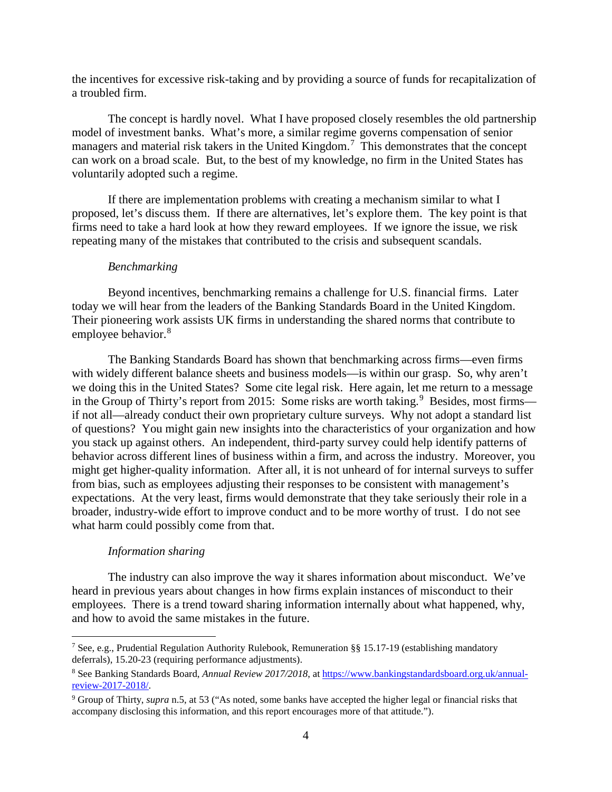the incentives for excessive risk-taking and by providing a source of funds for recapitalization of a troubled firm.

The concept is hardly novel. What I have proposed closely resembles the old partnership model of investment banks. What's more, a similar regime governs compensation of senior managers and material risk takers in the United Kingdom.<sup>[7](#page-4-0)</sup> This demonstrates that the concept can work on a broad scale. But, to the best of my knowledge, no firm in the United States has voluntarily adopted such a regime.

If there are implementation problems with creating a mechanism similar to what I proposed, let's discuss them. If there are alternatives, let's explore them. The key point is that firms need to take a hard look at how they reward employees. If we ignore the issue, we risk repeating many of the mistakes that contributed to the crisis and subsequent scandals.

### *Benchmarking*

Beyond incentives, benchmarking remains a challenge for U.S. financial firms. Later today we will hear from the leaders of the Banking Standards Board in the United Kingdom. Their pioneering work assists UK firms in understanding the shared norms that contribute to employee behavior.<sup>[8](#page-4-1)</sup>

The Banking Standards Board has shown that benchmarking across firms—even firms with widely different balance sheets and business models—is within our grasp. So, why aren't we doing this in the United States? Some cite legal risk. Here again, let me return to a message in the Group of Thirty's report from 2015: Some risks are worth taking.<sup>[9](#page-4-2)</sup> Besides, most firms if not all—already conduct their own proprietary culture surveys. Why not adopt a standard list of questions? You might gain new insights into the characteristics of your organization and how you stack up against others. An independent, third-party survey could help identify patterns of behavior across different lines of business within a firm, and across the industry. Moreover, you might get higher-quality information. After all, it is not unheard of for internal surveys to suffer from bias, such as employees adjusting their responses to be consistent with management's expectations. At the very least, firms would demonstrate that they take seriously their role in a broader, industry-wide effort to improve conduct and to be more worthy of trust. I do not see what harm could possibly come from that.

### *Information sharing*

The industry can also improve the way it shares information about misconduct. We've heard in previous years about changes in how firms explain instances of misconduct to their employees. There is a trend toward sharing information internally about what happened, why, and how to avoid the same mistakes in the future.

<span id="page-4-0"></span> <sup>7</sup> See, e.g., Prudential Regulation Authority Rulebook, Remuneration §§ 15.17-19 (establishing mandatory deferrals), 15.20-23 (requiring performance adjustments).

<span id="page-4-1"></span><sup>8</sup> See Banking Standards Board, *Annual Review 2017/2018*, a[t https://www.bankingstandardsboard.org.uk/annual](https://www.bankingstandardsboard.org.uk/annual-review-2017-2018/)[review-2017-2018/.](https://www.bankingstandardsboard.org.uk/annual-review-2017-2018/)

<span id="page-4-2"></span><sup>9</sup> Group of Thirty, *supra* n.5, at 53 ("As noted, some banks have accepted the higher legal or financial risks that accompany disclosing this information, and this report encourages more of that attitude.").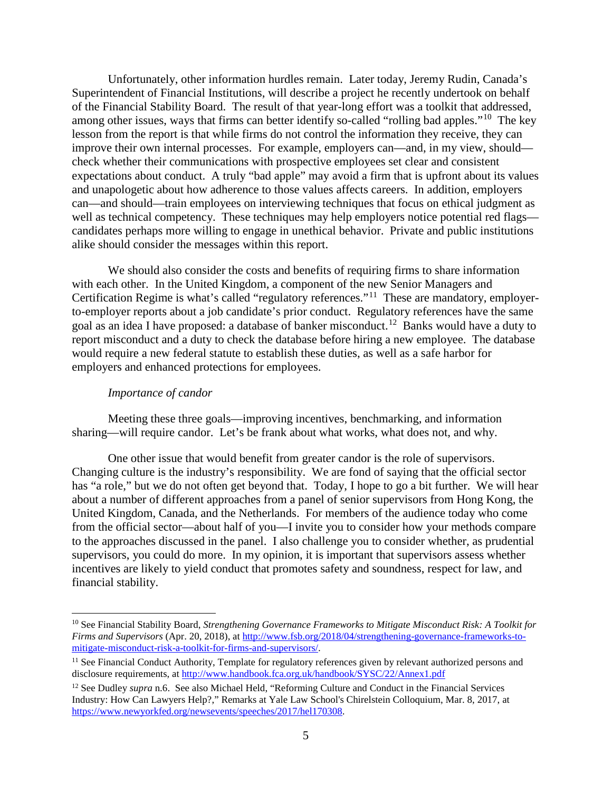Unfortunately, other information hurdles remain. Later today, Jeremy Rudin, Canada's Superintendent of Financial Institutions, will describe a project he recently undertook on behalf of the Financial Stability Board. The result of that year-long effort was a toolkit that addressed, among other issues, ways that firms can better identify so-called "rolling bad apples."<sup>[10](#page-5-0)</sup> The key lesson from the report is that while firms do not control the information they receive, they can improve their own internal processes. For example, employers can—and, in my view, should check whether their communications with prospective employees set clear and consistent expectations about conduct. A truly "bad apple" may avoid a firm that is upfront about its values and unapologetic about how adherence to those values affects careers. In addition, employers can—and should—train employees on interviewing techniques that focus on ethical judgment as well as technical competency. These techniques may help employers notice potential red flags candidates perhaps more willing to engage in unethical behavior. Private and public institutions alike should consider the messages within this report.

We should also consider the costs and benefits of requiring firms to share information with each other. In the United Kingdom, a component of the new Senior Managers and Certification Regime is what's called "regulatory references."<sup>11</sup> These are mandatory, employerto-employer reports about a job candidate's prior conduct. Regulatory references have the same goal as an idea I have proposed: a database of banker misconduct.<sup>[12](#page-5-2)</sup> Banks would have a duty to report misconduct and a duty to check the database before hiring a new employee. The database would require a new federal statute to establish these duties, as well as a safe harbor for employers and enhanced protections for employees.

# *Importance of candor*

Meeting these three goals—improving incentives, benchmarking, and information sharing—will require candor. Let's be frank about what works, what does not, and why.

One other issue that would benefit from greater candor is the role of supervisors. Changing culture is the industry's responsibility. We are fond of saying that the official sector has "a role," but we do not often get beyond that. Today, I hope to go a bit further. We will hear about a number of different approaches from a panel of senior supervisors from Hong Kong, the United Kingdom, Canada, and the Netherlands. For members of the audience today who come from the official sector—about half of you—I invite you to consider how your methods compare to the approaches discussed in the panel. I also challenge you to consider whether, as prudential supervisors, you could do more. In my opinion, it is important that supervisors assess whether incentives are likely to yield conduct that promotes safety and soundness, respect for law, and financial stability.

<span id="page-5-0"></span> <sup>10</sup> See Financial Stability Board, *Strengthening Governance Frameworks to Mitigate Misconduct Risk: A Toolkit for Firms and Supervisors* (Apr. 20, 2018), a[t http://www.fsb.org/2018/04/strengthening-governance-frameworks-to](http://www.fsb.org/2018/04/strengthening-governance-frameworks-to-mitigate-misconduct-risk-a-toolkit-for-firms-and-supervisors/)[mitigate-misconduct-risk-a-toolkit-for-firms-and-supervisors/.](http://www.fsb.org/2018/04/strengthening-governance-frameworks-to-mitigate-misconduct-risk-a-toolkit-for-firms-and-supervisors/)

<span id="page-5-1"></span><sup>&</sup>lt;sup>11</sup> See Financial Conduct Authority, Template for regulatory references given by relevant authorized persons and disclosure requirements, at<http://www.handbook.fca.org.uk/handbook/SYSC/22/Annex1.pdf>

<span id="page-5-2"></span><sup>&</sup>lt;sup>12</sup> See Dudley *supra* n.6. See also Michael Held, "Reforming Culture and Conduct in the Financial Services Industry: How Can Lawyers Help?," Remarks at Yale Law School's Chirelstein Colloquium, Mar. 8, 2017, at [https://www.newyorkfed.org/newsevents/speeches/2017/hel170308.](https://www.newyorkfed.org/newsevents/speeches/2017/hel170308)